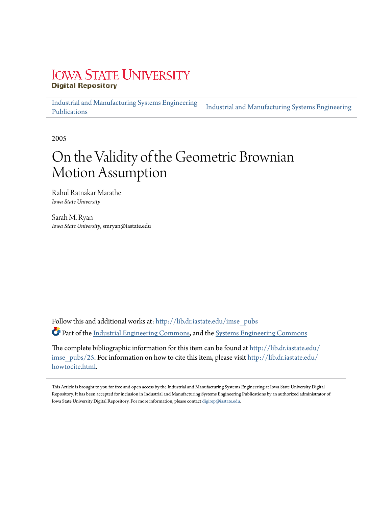# **IOWA STATE UNIVERSITY Digital Repository**

Industrial and Manufacturing Systems Engineering Publications Industrial and Manufacturing Systems Engineering

2005

# On the Validity of the Geometric Brownian Motion Assumption

Rahul Ratnakar Marathe *Iowa State University*

Sarah M. Ryan *Iowa State University*, smryan@iastate.edu

Follow this and additional works at: http://lib.dr.iastate.edu/imse\_pubs Part of the Industrial Engineering Commons, and the Systems Engineering Commons

The complete bibliographic information for this item can be found at http://lib.dr.iastate.edu/ imse\_pubs/25. For information on how to cite this item, please visit http://lib.dr.iastate.edu/ howtocite.html.

This Article is brought to you for free and open access by the Industrial and Manufacturing Systems Engineering at Iowa State University Digital Repository. It has been accepted for inclusion in Industrial and Manufacturing Systems Engineering Publications by an authorized administrator of Iowa State University Digital Repository. For more information, please contact digirep@iastate.edu.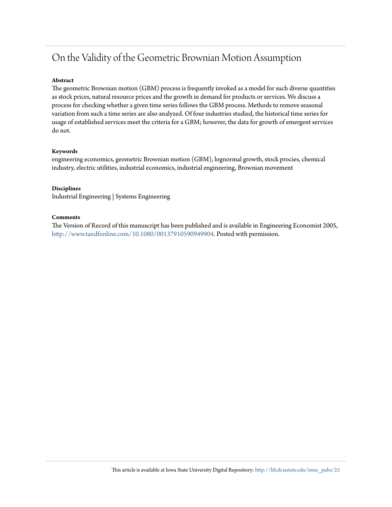# On the Validity of the Geometric Brownian Motion Assumption

#### **Abstract**

The geometric Brownian motion (GBM) process is frequently invoked as a model for such diverse quantities as stock prices, natural resource prices and the growth in demand for products or services. We discuss a process for checking whether a given time series follows the GBM process. Methods to remove seasonal variation from such a time series are also analyzed. Of four industries studied, the historical time series for usage of established services meet the criteria for a GBM; however, the data for growth of emergent services do not.

#### **Keywords**

engineering economics, geometric Brownian motion (GBM), lognormal growth, stock procies, chemical industry, electric utilities, industrial economics, industrial engineering, Brownian movement

#### **Disciplines**

Industrial Engineering | Systems Engineering

#### **Comments**

The Version of Record of this manuscript has been published and is available in Engineering Economist 2005, http://www.tandfonline.com/10.1080/00137910590949904. Posted with permission.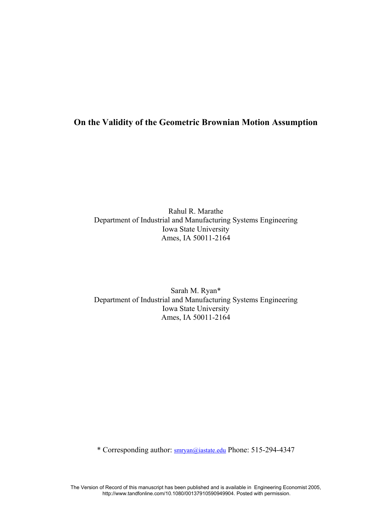# **On the Validity of the Geometric Brownian Motion Assumption**

Rahul R. Marathe Department of Industrial and Manufacturing Systems Engineering Iowa State University Ames, IA 50011-2164

Sarah M. Ryan\* Department of Industrial and Manufacturing Systems Engineering Iowa State University Ames, IA 50011-2164

\* Corresponding author: smryan@iastate.edu Phone: 515-294-4347

The Version of Record of this manuscript has been published and is available in Engineering Economist 2005, http://www.tandfonline.com/10.1080/00137910590949904. Posted with permission.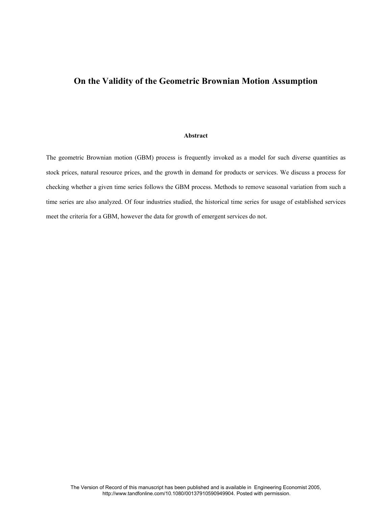## **On the Validity of the Geometric Brownian Motion Assumption**

#### **Abstract**

The geometric Brownian motion (GBM) process is frequently invoked as a model for such diverse quantities as stock prices, natural resource prices, and the growth in demand for products or services. We discuss a process for checking whether a given time series follows the GBM process. Methods to remove seasonal variation from such a time series are also analyzed. Of four industries studied, the historical time series for usage of established services meet the criteria for a GBM, however the data for growth of emergent services do not.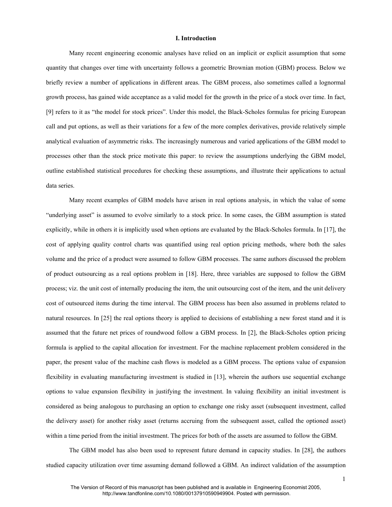#### **I. Introduction**

Many recent engineering economic analyses have relied on an implicit or explicit assumption that some quantity that changes over time with uncertainty follows a geometric Brownian motion (GBM) process. Below we briefly review a number of applications in different areas. The GBM process, also sometimes called a lognormal growth process, has gained wide acceptance as a valid model for the growth in the price of a stock over time. In fact, [9] refers to it as "the model for stock prices". Under this model, the Black-Scholes formulas for pricing European call and put options, as well as their variations for a few of the more complex derivatives, provide relatively simple analytical evaluation of asymmetric risks. The increasingly numerous and varied applications of the GBM model to processes other than the stock price motivate this paper: to review the assumptions underlying the GBM model, outline established statistical procedures for checking these assumptions, and illustrate their applications to actual data series.

Many recent examples of GBM models have arisen in real options analysis, in which the value of some "underlying asset" is assumed to evolve similarly to a stock price. In some cases, the GBM assumption is stated explicitly, while in others it is implicitly used when options are evaluated by the Black-Scholes formula. In [17], the cost of applying quality control charts was quantified using real option pricing methods, where both the sales volume and the price of a product were assumed to follow GBM processes. The same authors discussed the problem of product outsourcing as a real options problem in [18]. Here, three variables are supposed to follow the GBM process; viz. the unit cost of internally producing the item, the unit outsourcing cost of the item, and the unit delivery cost of outsourced items during the time interval. The GBM process has been also assumed in problems related to natural resources. In [25] the real options theory is applied to decisions of establishing a new forest stand and it is assumed that the future net prices of roundwood follow a GBM process. In [2], the Black-Scholes option pricing formula is applied to the capital allocation for investment. For the machine replacement problem considered in the paper, the present value of the machine cash flows is modeled as a GBM process. The options value of expansion flexibility in evaluating manufacturing investment is studied in [13], wherein the authors use sequential exchange options to value expansion flexibility in justifying the investment. In valuing flexibility an initial investment is considered as being analogous to purchasing an option to exchange one risky asset (subsequent investment, called the delivery asset) for another risky asset (returns accruing from the subsequent asset, called the optioned asset) within a time period from the initial investment. The prices for both of the assets are assumed to follow the GBM.

The GBM model has also been used to represent future demand in capacity studies. In [28], the authors studied capacity utilization over time assuming demand followed a GBM. An indirect validation of the assumption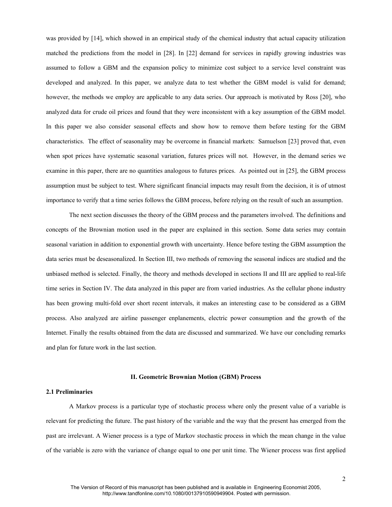was provided by [14], which showed in an empirical study of the chemical industry that actual capacity utilization matched the predictions from the model in [28]. In [22] demand for services in rapidly growing industries was assumed to follow a GBM and the expansion policy to minimize cost subject to a service level constraint was developed and analyzed. In this paper, we analyze data to test whether the GBM model is valid for demand; however, the methods we employ are applicable to any data series. Our approach is motivated by Ross [20], who analyzed data for crude oil prices and found that they were inconsistent with a key assumption of the GBM model. In this paper we also consider seasonal effects and show how to remove them before testing for the GBM characteristics. The effect of seasonality may be overcome in financial markets: Samuelson [23] proved that, even when spot prices have systematic seasonal variation, futures prices will not. However, in the demand series we examine in this paper, there are no quantities analogous to futures prices. As pointed out in [25], the GBM process assumption must be subject to test. Where significant financial impacts may result from the decision, it is of utmost importance to verify that a time series follows the GBM process, before relying on the result of such an assumption.

The next section discusses the theory of the GBM process and the parameters involved. The definitions and concepts of the Brownian motion used in the paper are explained in this section. Some data series may contain seasonal variation in addition to exponential growth with uncertainty. Hence before testing the GBM assumption the data series must be deseasonalized. In Section III, two methods of removing the seasonal indices are studied and the unbiased method is selected. Finally, the theory and methods developed in sections II and III are applied to real-life time series in Section IV. The data analyzed in this paper are from varied industries. As the cellular phone industry has been growing multi-fold over short recent intervals, it makes an interesting case to be considered as a GBM process. Also analyzed are airline passenger enplanements, electric power consumption and the growth of the Internet. Finally the results obtained from the data are discussed and summarized. We have our concluding remarks and plan for future work in the last section.

#### **II. Geometric Brownian Motion (GBM) Process**

#### **2.1 Preliminaries**

A Markov process is a particular type of stochastic process where only the present value of a variable is relevant for predicting the future. The past history of the variable and the way that the present has emerged from the past are irrelevant. A Wiener process is a type of Markov stochastic process in which the mean change in the value of the variable is zero with the variance of change equal to one per unit time. The Wiener process was first applied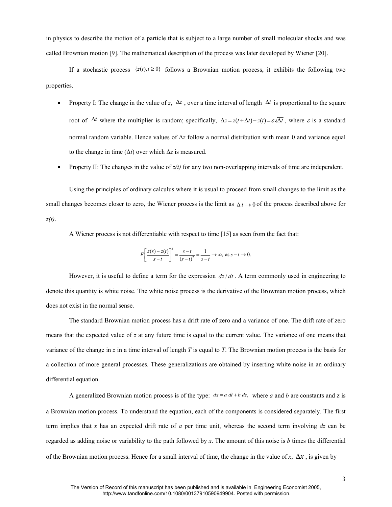in physics to describe the motion of a particle that is subject to a large number of small molecular shocks and was called Brownian motion [9]. The mathematical description of the process was later developed by Wiener [20].

If a stochastic process  $\{z(t), t \ge 0\}$  follows a Brownian motion process, it exhibits the following two properties.

- Property I: The change in the value of *z*,  $\Delta z$ , over a time interval of length  $\Delta t$  is proportional to the square root of  $\Delta t$  where the multiplier is random; specifically,  $\Delta z = z(t + \Delta t) - z(t) = \varepsilon \sqrt{\Delta t}$ , where  $\varepsilon$  is a standard normal random variable. Hence values of ∆*z* follow a normal distribution with mean 0 and variance equal to the change in time (∆*t*) over which ∆*z* is measured.
- Property II: The changes in the value of *z(t)* for any two non-overlapping intervals of time are independent.

 Using the principles of ordinary calculus where it is usual to proceed from small changes to the limit as the small changes becomes closer to zero, the Wiener process is the limit as  $\Delta t \rightarrow 0$  of the process described above for *z(t)*.

A Wiener process is not differentiable with respect to time [15] as seen from the fact that:

$$
E\left[\frac{z(s) - z(t)}{s - t}\right]^2 = \frac{s - t}{(s - t)^2} = \frac{1}{s - t} \to \infty, \text{ as } s - t \to 0.
$$

However, it is useful to define a term for the expression  $dz/dt$ . A term commonly used in engineering to denote this quantity is white noise. The white noise process is the derivative of the Brownian motion process, which does not exist in the normal sense.

The standard Brownian motion process has a drift rate of zero and a variance of one. The drift rate of zero means that the expected value of *z* at any future time is equal to the current value. The variance of one means that variance of the change in *z* in a time interval of length *T* is equal to *T*. The Brownian motion process is the basis for a collection of more general processes. These generalizations are obtained by inserting white noise in an ordinary differential equation.

A generalized Brownian motion process is of the type:  $dx = a dt + b dz$ , where *a* and *b* are constants and z is a Brownian motion process. To understand the equation, each of the components is considered separately. The first term implies that *x* has an expected drift rate of *a* per time unit, whereas the second term involving *dz* can be regarded as adding noise or variability to the path followed by *x*. The amount of this noise is *b* times the differential of the Brownian motion process. Hence for a small interval of time, the change in the value of *x*, ∆*x* , is given by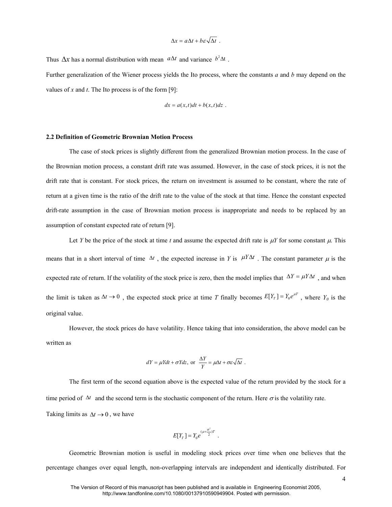$$
\Delta x = a \Delta t + b \varepsilon \sqrt{\Delta t} \ .
$$

Thus  $\Delta x$  has a normal distribution with mean  $a\Delta t$  and variance  $b^2\Delta t$ .

Further generalization of the Wiener process yields the Ito process, where the constants *a* and *b* may depend on the values of *x* and *t*. The Ito process is of the form [9]:

$$
dx = a(x,t)dt + b(x,t)dz .
$$

#### **2.2 Definition of Geometric Brownian Motion Process**

The case of stock prices is slightly different from the generalized Brownian motion process. In the case of the Brownian motion process, a constant drift rate was assumed. However, in the case of stock prices, it is not the drift rate that is constant. For stock prices, the return on investment is assumed to be constant, where the rate of return at a given time is the ratio of the drift rate to the value of the stock at that time. Hence the constant expected drift-rate assumption in the case of Brownian motion process is inappropriate and needs to be replaced by an assumption of constant expected rate of return [9].

Let *Y* be the price of the stock at time *t* and assume the expected drift rate is  $\mu Y$  for some constant  $\mu$ . This means that in a short interval of time  $\Delta t$ , the expected increase in *Y* is  $\mu Y \Delta t$ . The constant parameter  $\mu$  is the expected rate of return. If the volatility of the stock price is zero, then the model implies that  $\Delta Y = \mu Y \Delta t$ , and when the limit is taken as  $\Delta t \to 0$ , the expected stock price at time *T* finally becomes  $E[Y_T] = Y_0 e^{\mu T}$ , where  $Y_0$  is the original value.

However, the stock prices do have volatility. Hence taking that into consideration, the above model can be written as

$$
dY = \mu Y dt + \sigma Y dz, \text{ or } \frac{\Delta Y}{Y} = \mu \Delta t + \sigma \varepsilon \sqrt{\Delta t}.
$$

The first term of the second equation above is the expected value of the return provided by the stock for a time period of  $\Delta t$  and the second term is the stochastic component of the return. Here  $\sigma$  is the volatility rate. Taking limits as  $\Delta t \rightarrow 0$ , we have

$$
E[Y_T] = Y_0 e^{(\mu + \frac{\sigma^2}{2})T}.
$$

Geometric Brownian motion is useful in modeling stock prices over time when one believes that the percentage changes over equal length, non-overlapping intervals are independent and identically distributed. For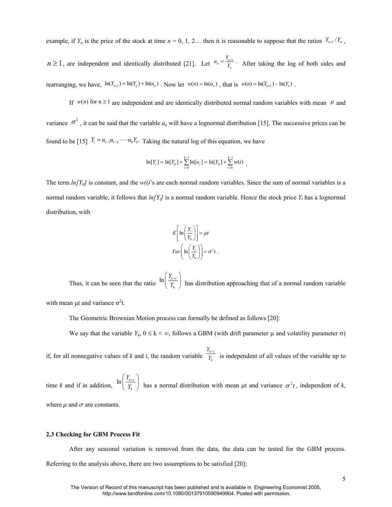example, if  $Y_n$  is the price of the stock at time  $n = 0, 1, 2...$  then it is reasonable to suppose that the ratios  $Y_{n+1}/Y_n$ ,

 $n \ge 1$ , are independent and identically distributed [21]. Let  $u_n = \frac{u_{n+1}}{Y_n}$ .  $u_n = \frac{Y_{n+1}}{Y_n}$ . After taking the log of both sides and rearranging, we have,  $\ln(Y_{n+1}) = \ln(Y_n) + \ln(u_n)$ . Now let  $w(n) = \ln(u_n)$ , that is  $w(n) = \ln(Y_{n+1}) - \ln(Y_n)$ .

If  $w(n)$  for  $n \ge 1$  are independent and are identically distributed normal random variables with mean  $\mu$  and variance  $\sigma^2$ , it can be said that the variable  $u_n$  will have a lognormal distribution [15]. The successive prices can be found to be [15]  $Y_t = u_{t-1}u_{t-2} \cdots u_0Y_0$ . Taking the natural log of this equation, we have

$$
\ln[Y_{i}] = \ln[Y_{0}] + \sum_{i=0}^{k-1} \ln[u_{i}] = \ln[Y_{0}] + \sum_{i=0}^{k-1} w(i)
$$

The term  $ln[Y_0]$  is constant, and the  $w(i)$ 's are each normal random variables. Since the sum of normal variables is a normal random variable, it follows that *ln[Yt]* is a normal random variable. Hence the stock price *Y<sup>t</sup>* has a lognormal distribution, with

$$
E\left[\ln\left(\frac{Y_t}{Y_0}\right)\right] = \mu t
$$
  
 
$$
Var\left(\ln\left(\frac{Y_t}{Y_0}\right)\right) = \sigma^2 t.
$$

Thus, it can be seen that the ratio  $\ln \left( \frac{I_{k+l}}{Y_k} \right)$ *Y Y*  $\left(\frac{Y_{k+t}}{Y_k}\right)$  has distribution approaching that of a normal random variable with mean  $\mu$ t and variance  $\sigma^2$ t.

The Geometric Brownian Motion process can formally be defined as follows [20]:

We say that the variable  $Y_k$ ,  $0 \le k < \infty$ , follows a GBM (with drift parameter  $\mu$  and volatility parameter  $\sigma$ )

if, for all nonnegative values of *k* and *t*, the random variable  $\frac{t_{k+t}}{Y}$ *k Y Y*  $\frac{H}{I}$  is independent of all values of the variable up to

time *k* and if in addition,  $\ln \left( \frac{I_{k+t}}{Y_k} \right)$ *Y Y*  $\left(\frac{Y_{k+t}}{Y_k}\right)$  has a normal distribution with mean  $\mu$ t and variance  $\sigma^2 t$ , independent of *k*, where  $\mu$  and  $\sigma$  are constants.

#### **2.3 Checking for GBM Process Fit**

After any seasonal variation is removed from the data, the data can be tested for the GBM process. Referring to the analysis above, there are two assumptions to be satisfied [20]: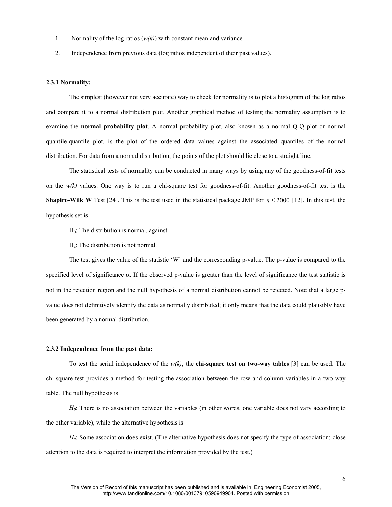- 1. Normality of the log ratios (*w(k)*) with constant mean and variance
- 2. Independence from previous data (log ratios independent of their past values).

#### **2.3.1 Normality:**

The simplest (however not very accurate) way to check for normality is to plot a histogram of the log ratios and compare it to a normal distribution plot. Another graphical method of testing the normality assumption is to examine the **normal probability plot**. A normal probability plot, also known as a normal Q-Q plot or normal quantile-quantile plot, is the plot of the ordered data values against the associated quantiles of the normal distribution. For data from a normal distribution, the points of the plot should lie close to a straight line.

The statistical tests of normality can be conducted in many ways by using any of the goodness-of-fit tests on the *w(k)* values. One way is to run a chi-square test for goodness-of-fit. Another goodness-of-fit test is the **Shapiro-Wilk W** Test [24]. This is the test used in the statistical package JMP for  $n \le 2000$  [12]. In this test, the hypothesis set is:

 $H<sub>0</sub>$ : The distribution is normal, against

Ha : The distribution is not normal.

The test gives the value of the statistic 'W' and the corresponding p-value. The p-value is compared to the specified level of significance  $\alpha$ . If the observed p-value is greater than the level of significance the test statistic is not in the rejection region and the null hypothesis of a normal distribution cannot be rejected. Note that a large pvalue does not definitively identify the data as normally distributed; it only means that the data could plausibly have been generated by a normal distribution.

#### **2.3.2 Independence from the past data:**

To test the serial independence of the *w(k)*, the **chi-square test on two-way tables** [3] can be used. The chi-square test provides a method for testing the association between the row and column variables in a two-way table. The null hypothesis is

*H*<sub>0</sub>: There is no association between the variables (in other words, one variable does not vary according to the other variable), while the alternative hypothesis is

*Ha*: Some association does exist. (The alternative hypothesis does not specify the type of association; close attention to the data is required to interpret the information provided by the test.)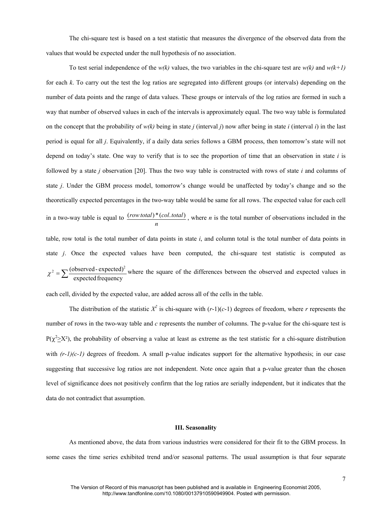The chi-square test is based on a test statistic that measures the divergence of the observed data from the values that would be expected under the null hypothesis of no association.

To test serial independence of the  $w(k)$  values, the two variables in the chi-square test are  $w(k)$  and  $w(k+1)$ for each *k*. To carry out the test the log ratios are segregated into different groups (or intervals) depending on the number of data points and the range of data values. These groups or intervals of the log ratios are formed in such a way that number of observed values in each of the intervals is approximately equal. The two way table is formulated on the concept that the probability of  $w(k)$  being in state *j* (interval *j*) now after being in state *i* (interval *i*) in the last period is equal for all *j*. Equivalently, if a daily data series follows a GBM process, then tomorrow's state will not depend on today's state. One way to verify that is to see the proportion of time that an observation in state *i* is followed by a state *j* observation [20]. Thus the two way table is constructed with rows of state *i* and columns of state *j*. Under the GBM process model, tomorrow's change would be unaffected by today's change and so the theoretically expected percentages in the two-way table would be same for all rows. The expected value for each cell in a two-way table is equal to *n*  $(row total)*(col. total)$ , where *n* is the total number of observations included in the table, row total is the total number of data points in state *i*, and column total is the total number of data points in state *j*. Once the expected values have been computed, the chi-square test statistic is computed as  $\chi^2 = \sum \frac{(observed - expected)^2}{expected frequency}$  where the square of the differences between the observed and expected values in

each cell, divided by the expected value, are added across all of the cells in the table.

The distribution of the statistic  $X^2$  is chi-square with  $(r-1)(c-1)$  degrees of freedom, where *r* represents the number of rows in the two-way table and *c* represents the number of columns. The p-value for the chi-square test is  $P(\chi^2 \geq X^2)$ , the probability of observing a value at least as extreme as the test statistic for a chi-square distribution with  $(r-1)(c-1)$  degrees of freedom. A small p-value indicates support for the alternative hypothesis; in our case suggesting that successive log ratios are not independent. Note once again that a p-value greater than the chosen level of significance does not positively confirm that the log ratios are serially independent, but it indicates that the data do not contradict that assumption.

#### **III. Seasonality**

As mentioned above, the data from various industries were considered for their fit to the GBM process. In some cases the time series exhibited trend and/or seasonal patterns. The usual assumption is that four separate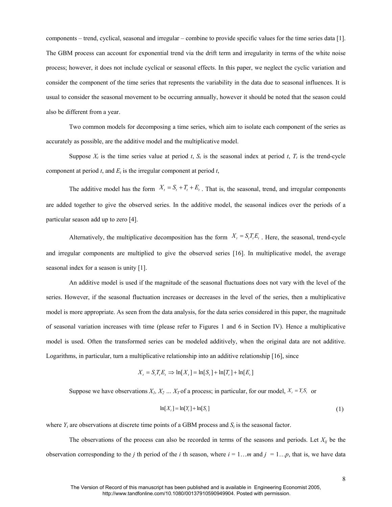components – trend, cyclical, seasonal and irregular – combine to provide specific values for the time series data [1]. The GBM process can account for exponential trend via the drift term and irregularity in terms of the white noise process; however, it does not include cyclical or seasonal effects. In this paper, we neglect the cyclic variation and consider the component of the time series that represents the variability in the data due to seasonal influences. It is usual to consider the seasonal movement to be occurring annually, however it should be noted that the season could also be different from a year.

Two common models for decomposing a time series, which aim to isolate each component of the series as accurately as possible, are the additive model and the multiplicative model.

Suppose  $X_t$  is the time series value at period *t*,  $S_t$  is the seasonal index at period *t*,  $T_t$  is the trend-cycle component at period  $t$ , and  $E_t$  is the irregular component at period  $t$ ,

The additive model has the form  $X_t = S_t + T_t + E_t$ . That is, the seasonal, trend, and irregular components are added together to give the observed series. In the additive model, the seasonal indices over the periods of a particular season add up to zero [4].

Alternatively, the multiplicative decomposition has the form  $X_t = S_t T_t E_t$ . Here, the seasonal, trend-cycle and irregular components are multiplied to give the observed series [16]. In multiplicative model, the average seasonal index for a season is unity [1].

An additive model is used if the magnitude of the seasonal fluctuations does not vary with the level of the series. However, if the seasonal fluctuation increases or decreases in the level of the series, then a multiplicative model is more appropriate. As seen from the data analysis, for the data series considered in this paper, the magnitude of seasonal variation increases with time (please refer to Figures 1 and 6 in Section IV). Hence a multiplicative model is used. Often the transformed series can be modeled additively, when the original data are not additive. Logarithms, in particular, turn a multiplicative relationship into an additive relationship [16], since

$$
X_{t} = S_{t}T_{t}E_{t} \implies \ln[X_{t}] = \ln[S_{t}] + \ln[T_{t}] + \ln[E_{t}]
$$

Suppose we have observations  $X_1, X_2, \ldots, X_T$  of a process; in particular, for our model,  $X_t = Y_t S_t$  or

$$
\ln[X_t] = \ln[Y_t] + \ln[S_t] \tag{1}
$$

where  $Y_t$  are observations at discrete time points of a GBM process and  $S_t$  is the seasonal factor.

The observations of the process can also be recorded in terms of the seasons and periods. Let  $X_{ij}$  be the observation corresponding to the *j* th period of the *i* th season, where  $i = 1...m$  and  $j = 1...p$ , that is, we have data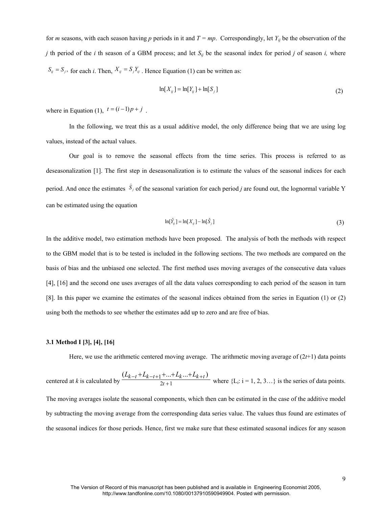for *m* seasons, with each season having *p* periods in it and *T = mp*. Correspondingly, let *Yij* be the observation of the *j* th period of the *i* th season of a GBM process; and let *Sij* be the seasonal index for period *j* of season *i,* where  $S_{ij} = S_j$ , for each *i*. Then,  $X_{ij} = S_j Y_{ij}$ . Hence Equation (1) can be written as:

$$
\ln[X_{ij}] = \ln[Y_{ij}] + \ln[S_j] \tag{2}
$$

where in Equation (1),  $t = (i-1)p + j$ .

In the following, we treat this as a usual additive model, the only difference being that we are using log values, instead of the actual values.

Our goal is to remove the seasonal effects from the time series. This process is referred to as deseasonalization [1]. The first step in deseasonalization is to estimate the values of the seasonal indices for each period. And once the estimates  $\hat{S}_j$ of the seasonal variation for each period *j* are found out, the lognormal variable Y can be estimated using the equation

$$
\ln[\hat{Y}_{ij}] = \ln[X_{ij}] - \ln[\hat{S}_j] \tag{3}
$$

In the additive model, two estimation methods have been proposed. The analysis of both the methods with respect to the GBM model that is to be tested is included in the following sections. The two methods are compared on the basis of bias and the unbiased one selected. The first method uses moving averages of the consecutive data values [4], [16] and the second one uses averages of all the data values corresponding to each period of the season in turn [8]. In this paper we examine the estimates of the seasonal indices obtained from the series in Equation (1) or (2) using both the methods to see whether the estimates add up to zero and are free of bias.

#### **3.1 Method I [3], [4], [16]**

Here, we use the arithmetic centered moving average. The arithmetic moving average of (2*t*+1) data points

centered at *k* is calculated by 
$$
\frac{(L_{k-t} + L_{k-t+1} + ... + L_{k} ... + L_{k+t})}{2t+1}
$$
 where {L<sub>i</sub>: i = 1, 2, 3...} is the series of data points.  
The moving averages isolate the seasonal components, which then can be estimated in the case of the additive model  
by subtracting the moving average from the corresponding data series value. The values thus found are estimates of  
the seasonal indices for those periods. Hence, first we make sure that these estimated seasonal indices for any season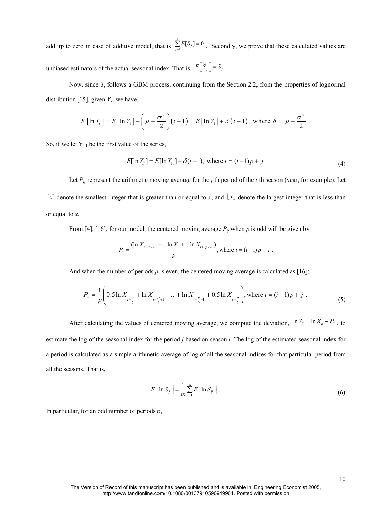add up to zero in case of additive model, that is  $\sum_{j=1}^{p} E[\hat{S}_j] = 0$  $\sum_{j=1}^{p} E[\hat{S}_j] =$ . Secondly, we prove that these calculated values are unbiased estimators of the actual seasonal index. That is,  $E\left[\hat{S}_j\right] = S_j$  $\tilde{z}$ .

Now, since  $Y_t$  follows a GBM process, continuing from the Section 2.2, from the properties of lognormal distribution [15], given  $Y_I$ , we have,

$$
E\left[\ln Y_t\right] = E\left[\ln Y_1\right] + \left(\mu + \frac{\sigma^2}{2}\right)(t-1) = E\left[\ln Y_1\right] + \delta\left(t-1\right), \text{ where } \delta = \mu + \frac{\sigma^2}{2}.
$$

So, if we let  $Y_{11}$  be the first value of the series,

$$
E[\ln Y_{ij}] = E[\ln Y_{11}] + \delta(t-1), \text{ where } t = (i-1)p + j
$$
\n(4)

Let  $P_{ij}$  represent the arithmetic moving average for the *j* th period of the *i* th season (year, for example). Let  $\lceil x \rceil$  denote the smallest integer that is greater than or equal to *x*, and  $\lfloor x \rfloor$  denote the largest integer that is less than or equal to *x*.

From [4], [16], for our model, the centered moving average  $P_{ij}$  when  $p$  is odd will be given by

$$
P_{ij} = \frac{(\ln X_{i+p/2j} + \dots \ln X_i + \dots \ln X_{i+p/2j})}{p}
$$
, where  $t = (i-1)p + j$ .

And when the number of periods  $p$  is even, the centered moving average is calculated as [16]:

$$
P_{ij} = \frac{1}{p} \left( 0.5 \ln X_{t - \frac{p}{2}} + \ln X_{t - \frac{p}{2} + 1} + \dots + \ln X_{t + \frac{p}{2} - 1} + 0.5 \ln X_{t + \frac{p}{2}} \right), \text{where } t = (i - 1)p + j \tag{5}
$$

After calculating the values of centered moving average, we compute the deviation,  $\ln \hat{S}_y = \ln X_y - P_y$ , to estimate the log of the seasonal index for the period *j* based on season *i*. The log of the estimated seasonal index for a period is calculated as a simple arithmetic average of log of all the seasonal indices for that particular period from all the seasons. That is,

$$
E\left[\ln \hat{S}_j\right] = \frac{1}{m} \sum_{i=1}^{m} E\left[\ln \hat{S}_{ij}\right].
$$
 (6)

In particular, for an odd number of periods *p*,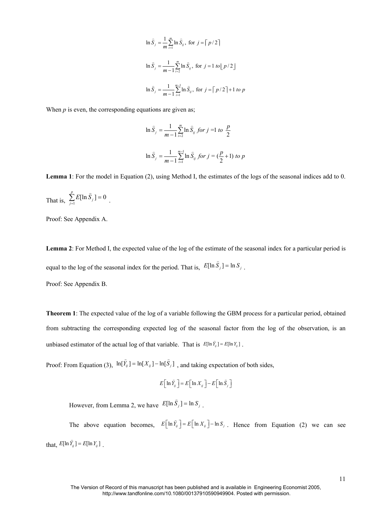$$
\ln \hat{S}_j = \frac{1}{m} \sum_{i=1}^m \ln \hat{S}_{ij}, \text{ for } j = \lceil p/2 \rceil
$$
  

$$
\ln \hat{S}_j = \frac{1}{m-1} \sum_{i=2}^m \ln \hat{S}_{ij}, \text{ for } j = 1 \text{ to } \lfloor p/2 \rfloor
$$
  

$$
\ln \hat{S}_j = \frac{1}{m-1} \sum_{i=1}^{m-1} \ln \hat{S}_{ij}, \text{ for } j = \lceil p/2 \rceil + 1 \text{ to } p
$$

When  $p$  is even, the corresponding equations are given as;

.

$$
\ln \hat{S}_j = \frac{1}{m-1} \sum_{i=2}^{m} \ln \hat{S}_{ij} \text{ for } j = 1 \text{ to } \frac{p}{2}
$$
\n
$$
\ln \hat{S}_j = \frac{1}{m-1} \sum_{i=1}^{m-1} \ln \hat{S}_{ij} \text{ for } j = (\frac{p}{2} + 1) \text{ to } p
$$

**Lemma 1**: For the model in Equation (2), using Method I, the estimates of the logs of the seasonal indices add to 0.

That is,  $\sum_{j=1}^{p} E[\ln \hat{S}_j] = 0$  $\sum_{j=1}^{p} E[\ln \hat{S}_j] =$ 

Proof: See Appendix A.

**Lemma 2**: For Method I, the expected value of the log of the estimate of the seasonal index for a particular period is equal to the log of the seasonal index for the period. That is,  $E[\ln \hat{S}_j] = \ln S_j$ . Proof: See Appendix B.

**Theorem 1**: The expected value of the log of a variable following the GBM process for a particular period, obtained from subtracting the corresponding expected log of the seasonal factor from the log of the observation, is an unbiased estimator of the actual log of that variable. That is  $E[\ln \hat{Y}_y] = E[\ln Y_y]$ .

Proof: From Equation (3),  $\ln[\hat{Y}_y] = \ln[X_y] - \ln[\hat{S}_y]$ , and taking expectation of both sides,

$$
E\Big[\ln \widehat{Y}_{ij}\Big]=E\Big[\ln X_{ij}\Big]-E\Big[\ln \widehat{S}_{j}\Big]
$$

.

However, from Lemma 2, we have  $E[\ln \hat{S}_j] = \ln S_j$ 

The above equation becomes,  $E[\ln \hat{Y}_{ij}] = E[\ln X_{ij}] - \ln S_j$ . Hence from Equation (2) we can see that,  $E[\ln \hat{Y}_{ij}] = E[\ln Y_{ij}]$ .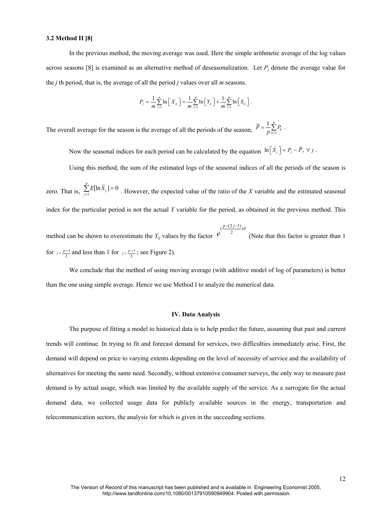#### **3.2 Method II [8]**

In the previous method, the moving average was used. Here the simple arithmetic average of the log values across seasons [8] is examined as an alternative method of deseasonalization. Let  $P_j$  denote the average value for the *j* th period, that is, the average of all the period *j* values over all *m* seasons.

$$
P_j = \frac{1}{m} \sum_{i=1}^m \ln \left[ X_{ij} \right] = \frac{1}{m} \sum_{i=1}^m \ln \left[ Y_{ij} \right] + \frac{1}{m} \sum_{i=1}^m \ln \left[ S_{ij} \right].
$$

The overall average for the season is the average of all the periods of the season,  $P = \frac{1}{p} \sum_{k=1}^{n}$  $\frac{1}{n} \sum_{k=1}^{p} P_k$ .  $\overline{P} = \frac{1}{p} \sum_{k=1}^{n} P_k$ 

Now the seasonal indices for each period can be calculated by the equation  $\ln[\hat{S}_j] = P_j - \overline{P}, \forall j$ .

Using this method, the sum of the estimated logs of the seasonal indices of all the periods of the season is

zero. That is,  $\sum_{j=1}^{p} E[\ln \hat{S}_j] = 0$  $\sum_{j=1}^{p} E[\ln \hat{S}_j] =$ . However, the expected value of the ratio of the *X* variable and the estimated seasonal index for the particular period is not the actual *Y* variable for the period, as obtained in the previous method. This

method can be shown to overestimate the *Yij* values by the factor  $\frac{p-(2j-1)}{2})\delta$ *p* – (2*j* –  $e^{(\frac{p-(2j-1)}{2})\delta}$ (Note that this factor is greater than 1 for  $j < \frac{p+1}{2}$  $p \leq \frac{p+1}{2}$  and less than 1 for  $p \geq \frac{p+1}{2}$  $p \geq \frac{p+1}{2}$ ; see Figure 2).

We conclude that the method of using moving average (with additive model of log of parameters) is better than the one using simple average. Hence we use Method I to analyze the numerical data.

#### **IV. Data Analysis**

The purpose of fitting a model to historical data is to help predict the future, assuming that past and current trends will continue. In trying to fit and forecast demand for services, two difficulties immediately arise. First, the demand will depend on price to varying extents depending on the level of necessity of service and the availability of alternatives for meeting the same need. Secondly, without extensive consumer surveys, the only way to measure past demand is by actual usage, which was limited by the available supply of the service. As a surrogate for the actual demand data, we collected usage data for publicly available sources in the energy, transportation and telecommunication sectors, the analysis for which is given in the succeeding sections.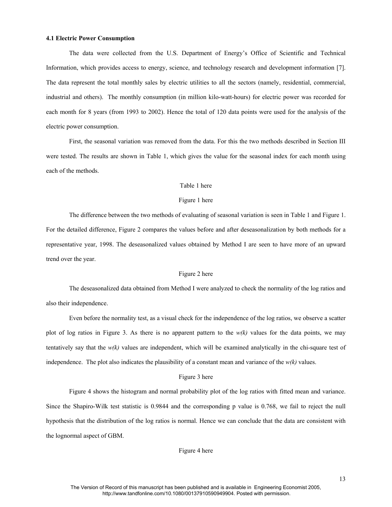#### **4.1 Electric Power Consumption**

The data were collected from the U.S. Department of Energy's Office of Scientific and Technical Information, which provides access to energy, science, and technology research and development information [7]. The data represent the total monthly sales by electric utilities to all the sectors (namely, residential, commercial, industrial and others). The monthly consumption (in million kilo-watt-hours) for electric power was recorded for each month for 8 years (from 1993 to 2002). Hence the total of 120 data points were used for the analysis of the electric power consumption.

First, the seasonal variation was removed from the data. For this the two methods described in Section III were tested. The results are shown in Table 1, which gives the value for the seasonal index for each month using each of the methods.

#### Table 1 here

#### Figure 1 here

The difference between the two methods of evaluating of seasonal variation is seen in Table 1 and Figure 1. For the detailed difference, Figure 2 compares the values before and after deseasonalization by both methods for a representative year, 1998. The deseasonalized values obtained by Method I are seen to have more of an upward trend over the year.

#### Figure 2 here

The deseasonalized data obtained from Method I were analyzed to check the normality of the log ratios and also their independence.

Even before the normality test, as a visual check for the independence of the log ratios, we observe a scatter plot of log ratios in Figure 3. As there is no apparent pattern to the *w(k)* values for the data points, we may tentatively say that the *w(k)* values are independent, which will be examined analytically in the chi-square test of independence. The plot also indicates the plausibility of a constant mean and variance of the  $w(k)$  values.

#### Figure 3 here

Figure 4 shows the histogram and normal probability plot of the log ratios with fitted mean and variance. Since the Shapiro-Wilk test statistic is 0.9844 and the corresponding p value is 0.768, we fail to reject the null hypothesis that the distribution of the log ratios is normal. Hence we can conclude that the data are consistent with the lognormal aspect of GBM.

#### Figure 4 here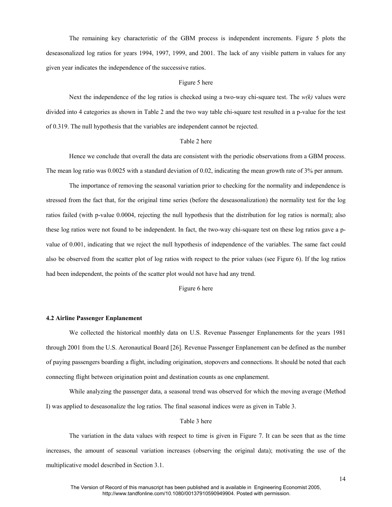The remaining key characteristic of the GBM process is independent increments. Figure 5 plots the deseasonalized log ratios for years 1994, 1997, 1999, and 2001. The lack of any visible pattern in values for any given year indicates the independence of the successive ratios.

#### Figure 5 here

Next the independence of the log ratios is checked using a two-way chi-square test. The  $w(k)$  values were divided into 4 categories as shown in Table 2 and the two way table chi-square test resulted in a p-value for the test of 0.319. The null hypothesis that the variables are independent cannot be rejected.

#### Table 2 here

Hence we conclude that overall the data are consistent with the periodic observations from a GBM process. The mean log ratio was 0.0025 with a standard deviation of 0.02, indicating the mean growth rate of 3% per annum.

The importance of removing the seasonal variation prior to checking for the normality and independence is stressed from the fact that, for the original time series (before the deseasonalization) the normality test for the log ratios failed (with p-value 0.0004, rejecting the null hypothesis that the distribution for log ratios is normal); also these log ratios were not found to be independent. In fact, the two-way chi-square test on these log ratios gave a pvalue of 0.001, indicating that we reject the null hypothesis of independence of the variables. The same fact could also be observed from the scatter plot of log ratios with respect to the prior values (see Figure 6). If the log ratios had been independent, the points of the scatter plot would not have had any trend.

#### Figure 6 here

#### **4.2 Airline Passenger Enplanement**

We collected the historical monthly data on U.S. Revenue Passenger Enplanements for the years 1981 through 2001 from the U.S. Aeronautical Board [26]. Revenue Passenger Enplanement can be defined as the number of paying passengers boarding a flight, including origination, stopovers and connections. It should be noted that each connecting flight between origination point and destination counts as one enplanement.

While analyzing the passenger data, a seasonal trend was observed for which the moving average (Method I) was applied to deseasonalize the log ratios. The final seasonal indices were as given in Table 3.

#### Table 3 here

The variation in the data values with respect to time is given in Figure 7. It can be seen that as the time increases, the amount of seasonal variation increases (observing the original data); motivating the use of the multiplicative model described in Section 3.1.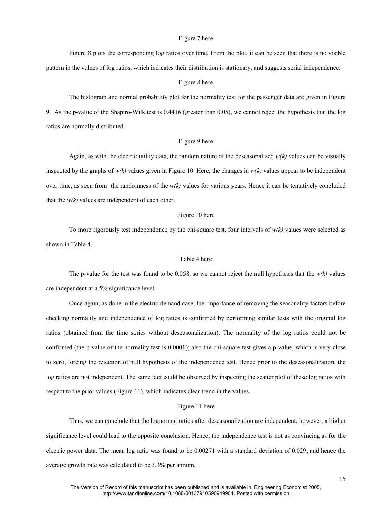#### Figure 7 here

Figure 8 plots the corresponding log ratios over time. From the plot, it can be seen that there is no visible pattern in the values of log ratios, which indicates their distribution is stationary, and suggests serial independence.

#### Figure 8 here

The histogram and normal probability plot for the normality test for the passenger data are given in Figure 9. As the p-value of the Shapiro-Wilk test is 0.4416 (greater than 0.05), we cannot reject the hypothesis that the log ratios are normally distributed.

#### Figure 9 here

Again, as with the electric utility data, the random nature of the deseasonalized  $w(k)$  values can be visually inspected by the graphs of  $w(k)$  values given in Figure 10. Here, the changes in  $w(k)$  values appear to be independent over time, as seen from the randomness of the  $w(k)$  values for various years. Hence it can be tentatively concluded that the  $w(k)$  values are independent of each other.

#### Figure 10 here

To more rigorously test independence by the chi-square test, four intervals of  $w(k)$  values were selected as shown in Table 4.

#### Table 4 here

The p-value for the test was found to be 0.058, so we cannot reject the null hypothesis that the *w(k)* values are independent at a 5% significance level.

Once again, as done in the electric demand case, the importance of removing the seasonality factors before checking normality and independence of log ratios is confirmed by performing similar tests with the original log ratios (obtained from the time series without deseasonalization). The normality of the log ratios could not be confirmed (the p-value of the normality test is 0.0001); also the chi-square test gives a p-value, which is very close to zero, forcing the rejection of null hypothesis of the independence test. Hence prior to the deseasonalization, the log ratios are not independent. The same fact could be observed by inspecting the scatter plot of these log ratios with respect to the prior values (Figure 11), which indicates clear trend in the values.

#### Figure 11 here

Thus, we can conclude that the lognormal ratios after deseasonalization are independent; however, a higher significance level could lead to the opposite conclusion. Hence, the independence test is not as convincing as for the electric power data. The mean log ratio was found to be 0.00271 with a standard deviation of 0.029, and hence the average growth rate was calculated to be 3.3% per annum.

15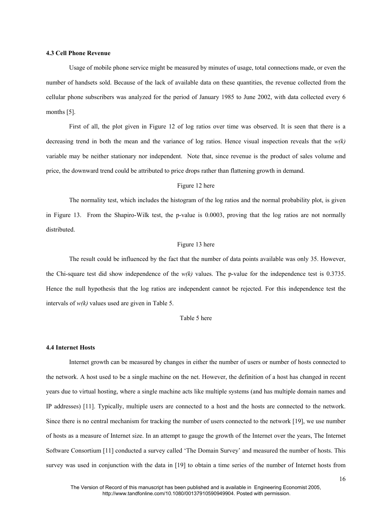#### **4.3 Cell Phone Revenue**

Usage of mobile phone service might be measured by minutes of usage, total connections made, or even the number of handsets sold. Because of the lack of available data on these quantities, the revenue collected from the cellular phone subscribers was analyzed for the period of January 1985 to June 2002, with data collected every 6 months [5].

First of all, the plot given in Figure 12 of log ratios over time was observed. It is seen that there is a decreasing trend in both the mean and the variance of log ratios. Hence visual inspection reveals that the  $w(k)$ variable may be neither stationary nor independent. Note that, since revenue is the product of sales volume and price, the downward trend could be attributed to price drops rather than flattening growth in demand.

#### Figure 12 here

The normality test, which includes the histogram of the log ratios and the normal probability plot, is given in Figure 13. From the Shapiro-Wilk test, the p-value is 0.0003, proving that the log ratios are not normally distributed.

#### Figure 13 here

The result could be influenced by the fact that the number of data points available was only 35. However, the Chi-square test did show independence of the  $w(k)$  values. The p-value for the independence test is 0.3735. Hence the null hypothesis that the log ratios are independent cannot be rejected. For this independence test the intervals of *w(k)* values used are given in Table 5.

#### Table 5 here

#### **4.4 Internet Hosts**

Internet growth can be measured by changes in either the number of users or number of hosts connected to the network. A host used to be a single machine on the net. However, the definition of a host has changed in recent years due to virtual hosting, where a single machine acts like multiple systems (and has multiple domain names and IP addresses) [11]. Typically, multiple users are connected to a host and the hosts are connected to the network. Since there is no central mechanism for tracking the number of users connected to the network [19], we use number of hosts as a measure of Internet size. In an attempt to gauge the growth of the Internet over the years, The Internet Software Consortium [11] conducted a survey called 'The Domain Survey' and measured the number of hosts. This survey was used in conjunction with the data in [19] to obtain a time series of the number of Internet hosts from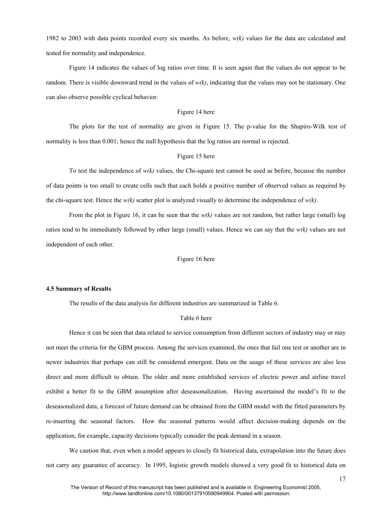1982 to 2003 with data points recorded every six months. As before, *w(k)* values for the data are calculated and tested for normality and independence.

Figure 14 indicates the values of log ratios over time. It is seen again that the values do not appear to be random. There is visible downward trend in the values of *w(k)*, indicating that the values may not be stationary. One can also observe possible cyclical behavior.

#### Figure 14 here

The plots for the test of normality are given in Figure 15. The p-value for the Shapiro-Wilk test of normality is less than 0.001; hence the null hypothesis that the log ratios are normal is rejected.

#### Figure 15 here

To test the independence of *w(k)* values, the Chi-square test cannot be used as before, because the number of data points is too small to create cells such that each holds a positive number of observed values as required by the chi-square test. Hence the  $w(k)$  scatter plot is analyzed visually to determine the independence of  $w(k)$ .

From the plot in Figure 16, it can be seen that the  $w(k)$  values are not random, but rather large (small) log ratios tend to be immediately followed by other large (small) values. Hence we can say that the *w(k)* values are not independent of each other.

#### Figure 16 here

#### **4.5 Summary of Results**

The results of the data analysis for different industries are summarized in Table 6.

#### Table 6 here

Hence it can be seen that data related to service consumption from different sectors of industry may or may not meet the criteria for the GBM process. Among the services examined, the ones that fail one test or another are in newer industries that perhaps can still be considered emergent. Data on the usage of these services are also less direct and more difficult to obtain. The older and more established services of electric power and airline travel exhibit a better fit to the GBM assumption after deseasonalization. Having ascertained the model's fit to the deseasonalized data, a forecast of future demand can be obtained from the GBM model with the fitted parameters by re-inserting the seasonal factors. How the seasonal patterns would affect decision-making depends on the application, for example, capacity decisions typically consider the peak demand in a season.

We caution that, even when a model appears to closely fit historical data, extrapolation into the future does not carry any guarantee of accuracy. In 1995, logistic growth models showed a very good fit to historical data on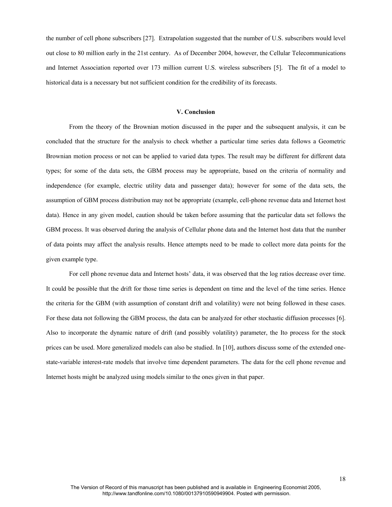the number of cell phone subscribers [27]. Extrapolation suggested that the number of U.S. subscribers would level out close to 80 million early in the 21st century. As of December 2004, however, the Cellular Telecommunications and Internet Association reported over 173 million current U.S. wireless subscribers [5]. The fit of a model to historical data is a necessary but not sufficient condition for the credibility of its forecasts.

#### **V. Conclusion**

From the theory of the Brownian motion discussed in the paper and the subsequent analysis, it can be concluded that the structure for the analysis to check whether a particular time series data follows a Geometric Brownian motion process or not can be applied to varied data types. The result may be different for different data types; for some of the data sets, the GBM process may be appropriate, based on the criteria of normality and independence (for example, electric utility data and passenger data); however for some of the data sets, the assumption of GBM process distribution may not be appropriate (example, cell-phone revenue data and Internet host data). Hence in any given model, caution should be taken before assuming that the particular data set follows the GBM process. It was observed during the analysis of Cellular phone data and the Internet host data that the number of data points may affect the analysis results. Hence attempts need to be made to collect more data points for the given example type.

For cell phone revenue data and Internet hosts' data, it was observed that the log ratios decrease over time. It could be possible that the drift for those time series is dependent on time and the level of the time series. Hence the criteria for the GBM (with assumption of constant drift and volatility) were not being followed in these cases. For these data not following the GBM process, the data can be analyzed for other stochastic diffusion processes [6]. Also to incorporate the dynamic nature of drift (and possibly volatility) parameter, the Ito process for the stock prices can be used. More generalized models can also be studied. In [10], authors discuss some of the extended onestate-variable interest-rate models that involve time dependent parameters. The data for the cell phone revenue and Internet hosts might be analyzed using models similar to the ones given in that paper.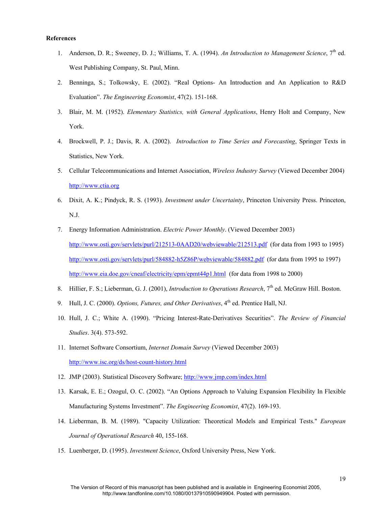#### **References**

- 1. Anderson, D. R.; Sweeney, D. J.; Williams, T. A. (1994). An Introduction to Management Science, 7<sup>th</sup> ed. West Publishing Company, St. Paul, Minn.
- 2. Benninga, S.; Tolkowsky, E. (2002). "Real Options- An Introduction and An Application to R&D Evaluation". *The Engineering Economist*, 47(2). 151-168.
- 3. Blair, M. M. (1952). *Elementary Statistics, with General Applications*, Henry Holt and Company, New York.
- 4. Brockwell, P. J.; Davis, R. A. (2002). *Introduction to Time Series and Forecasting*, Springer Texts in Statistics, New York.
- 5. Cellular Telecommunications and Internet Association, *Wireless Industry Survey* (Viewed December 2004) http://www.ctia.org
- 6. Dixit, A. K.; Pindyck, R. S. (1993). *Investment under Uncertainty*, Princeton University Press. Princeton, N.J.
- 7. Energy Information Administration. *Electric Power Monthly*. (Viewed December 2003) http://www.osti.gov/servlets/purl/212513-0AAD20/webviewable/212513.pdf (for data from 1993 to 1995) http://www.osti.gov/servlets/purl/584882-h5Z86P/webviewable/584882.pdf (for data from 1995 to 1997) http://www.eia.doe.gov/cneaf/electricity/epm/epmt44p1.html (for data from 1998 to 2000)
- 8. Hillier, F. S.; Lieberman, G. J. (2001), *Introduction to Operations Research*, 7<sup>th</sup> ed. McGraw Hill. Boston.
- 9. Hull, J. C. (2000). *Options, Futures, and Other Derivatives*, 4<sup>th</sup> ed. Prentice Hall, NJ.
- 10. Hull, J. C.; White A. (1990). "Pricing Interest-Rate-Derivatives Securities". *The Review of Financial Studies*. 3(4). 573-592.
- 11. Internet Software Consortium, *Internet Domain Survey* (Viewed December 2003) http://www.isc.org/ds/host-count-history.html
- 12. JMP (2003). Statistical Discovery Software; http://www.jmp.com/index.html
- 13. Karsak, E. E.; Ozogul, O. C. (2002). "An Options Approach to Valuing Expansion Flexibility In Flexible Manufacturing Systems Investment". *The Engineering Economist*, 47(2). 169-193.
- 14. Lieberman, B. M. (1989). "Capacity Utilization: Theoretical Models and Empirical Tests." *European Journal of Operational Research* 40, 155-168.
- 15. Luenberger, D. (1995). *Investment Science*, Oxford University Press, New York.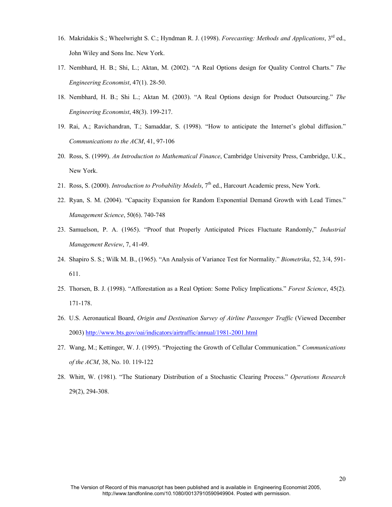- 16. Makridakis S.; Wheelwright S. C.; Hyndman R. J. (1998). *Forecasting: Methods and Applications*, 3rd ed., John Wiley and Sons Inc. New York.
- 17. Nembhard, H. B.; Shi, L.; Aktan, M. (2002). "A Real Options design for Quality Control Charts." *The Engineering Economist*, 47(1). 28-50.
- 18. Nembhard, H. B.; Shi L.; Aktan M. (2003). "A Real Options design for Product Outsourcing." *The Engineering Economist*, 48(3). 199-217.
- 19. Rai, A.; Ravichandran, T.; Samaddar, S. (1998). "How to anticipate the Internet's global diffusion." *Communications to the ACM*, 41, 97-106
- 20. Ross, S. (1999). *An Introduction to Mathematical Finance*, Cambridge University Press, Cambridge, U.K., New York.
- 21. Ross, S. (2000). *Introduction to Probability Models*, 7<sup>th</sup> ed., Harcourt Academic press, New York.
- 22. Ryan, S. M. (2004). "Capacity Expansion for Random Exponential Demand Growth with Lead Times." *Management Science*, 50(6). 740-748
- 23. Samuelson, P. A. (1965). "Proof that Properly Anticipated Prices Fluctuate Randomly," *Industrial Management Review*, 7, 41-49.
- 24. Shapiro S. S.; Wilk M. B., (1965). "An Analysis of Variance Test for Normality." *Biometrika*, 52, 3/4, 591- 611.
- 25. Thorsen, B. J. (1998). "Afforestation as a Real Option: Some Policy Implications." *Forest Science*, 45(2). 171-178.
- 26. U.S. Aeronautical Board, *Origin and Destination Survey of Airline Passenger Traffic* (Viewed December 2003) http://www.bts.gov/oai/indicators/airtraffic/annual/1981-2001.html
- 27. Wang, M.; Kettinger, W. J. (1995). "Projecting the Growth of Cellular Communication." *Communications of the ACM*, 38, No. 10. 119-122
- 28. Whitt, W. (1981). "The Stationary Distribution of a Stochastic Clearing Process." *Operations Research*  29(2), 294-308.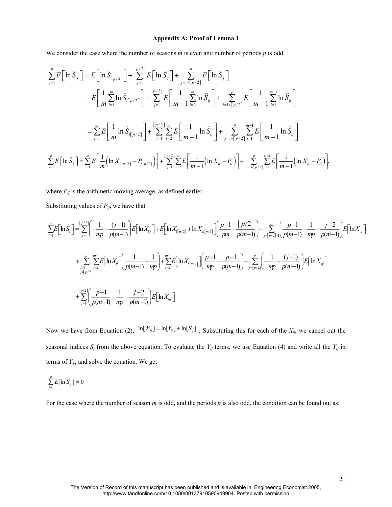#### **Appendix A: Proof of Lemma 1**

We consider the case where the number of seasons *m* is even and number of periods *p* is odd.

$$
\sum_{j=1}^{p} E\Big[\ln \hat{S}_{j}\Big] = E\Big[\ln \hat{S}_{\big|p/2\big]}\Big] + \sum_{j=1}^{\big|p/2\big|} E\Big[\ln \hat{S}_{j}\Big] + \sum_{j=1}^{p} E\Big[\ln \hat{S}_{j}\Big]
$$
\n
$$
= E\Big[\frac{1}{m} \sum_{i=1}^{m} \ln \hat{S}_{i\big|p/2\big]}\Big] + \sum_{j=1}^{\big|p/2\big|} E\Big[\frac{1}{m-1} \sum_{i=2}^{m} \ln \hat{S}_{ij}\Big] + \sum_{j=1}^{p} E\Big[\frac{1}{m-1} \sum_{i=1}^{m-1} \ln \hat{S}_{ij}\Big]
$$
\n
$$
= \sum_{i=1}^{m} E\Big[\frac{1}{m} \ln \hat{S}_{i\big|p/2\big]}\Big] + \sum_{j=1}^{\big|p/2\big|} \sum_{i=2}^{m} E\Big[\frac{1}{m-1} \ln \hat{S}_{ij}\Big] + \sum_{j=1}^{p} \sum_{i=1}^{m-1} E\Big[\frac{1}{m-1} \ln \hat{S}_{ij}\Big]
$$
\n
$$
\sum_{j=1}^{p} E\Big[\ln \hat{S}_{j}\Big] = \sum_{i=1}^{m} E\Big[\frac{1}{m} \Big(\ln X_{i\big|p/2\big]} - P_{i\big|p/2\big]}\Big]\Big] + \sum_{j=1}^{\big|p/2\big|} \sum_{i=2}^{m} E\Big[\frac{1}{m-1} \Big(\ln X_{ij} - P_{ij}\Big]\Big] + \sum_{j=1}^{p} \sum_{i=1}^{m-1} E\Big[\frac{1}{m-1} \Big(\ln X_{ij} - P_{ij}\Big]\Big],
$$

where  $P_{ij}$  is the arithmetic moving average, as defined earlier.

Substituting values of  $P_{ij}$ , we have that

$$
\sum_{j=1}^{p} E\left[\ln \hat{S}_{j}\right] = \sum_{j=1}^{\lfloor p/2 \rfloor} \left( \frac{1}{mp} - \frac{(j-1)}{pp} \right) E\left[\ln X_{1j}\right] + E\left[\ln X_{\lfloor p/2 \rfloor} + \ln X_{\lfloor p/2 \rfloor}\right] \left( \frac{p-1}{pm} - \frac{\lfloor p/2 \rfloor}{p(m-1)} \right) + \sum_{j=\lfloor p/2 \rfloor + 1}^{p} \left( \frac{p-1}{p(m-1)} - \frac{1}{mp} - \frac{j-2}{p(m-1)} \right) E\left[\ln X_{1j}\right]
$$
\n
$$
+ \sum_{j=\lfloor p/2 \rfloor}^{p} \sum_{i=2}^{m-1} E\left[\ln X_{ij}\right] \left( \frac{1}{p(m-1)} - \frac{1}{mp} \right) + \sum_{i=2}^{m-1} E\left[\ln X_{\lfloor p/2 \rfloor}\right] \left( \frac{p-1}{mp} - \frac{p-1}{p(m-1)} \right) + \sum_{j=\lfloor p/2 \rfloor}^{p} \left( \frac{1}{mp} - \frac{(j-1)}{p(m-1)} \right) E\left[\ln X_{\lfloor n/2 \rfloor}\right]
$$
\n
$$
+ \sum_{j=1}^{\lfloor p/2 \rfloor} \left( \frac{p-1}{p(m-1)} - \frac{1}{mp} - \frac{j-2}{p(m-1)} \right) E\left[\ln X_{\lfloor n/2 \rfloor}\right]
$$
\n
$$
= \sum_{j=1}^{\lfloor p/2 \rfloor} \left( \frac{p-1}{p(m-1)} - \frac{1}{mp} - \frac{j-2}{p(m-1)} \right) E\left[\ln X_{\lfloor n/2 \rfloor}\right]
$$

Now we have from Equation (2),  $\ln[X_{ij}] = \ln[Y_{ij}] + \ln[S_j]$ . Substituting this for each of the  $X_{ij}$ , we cancel out the seasonal indices  $S_j$  from the above equation. To evaluate the  $Y_{ij}$  terms, we use Equation (4) and write all the  $Y_{ij}$  in terms of  $Y_{II}$  and solve the equation. We get

$$
\sum_{j=1}^p E[\ln \widehat{S}_j] = 0
$$

For the case where the number of season *m* is odd, and the periods *p* is also odd, the condition can be found out as: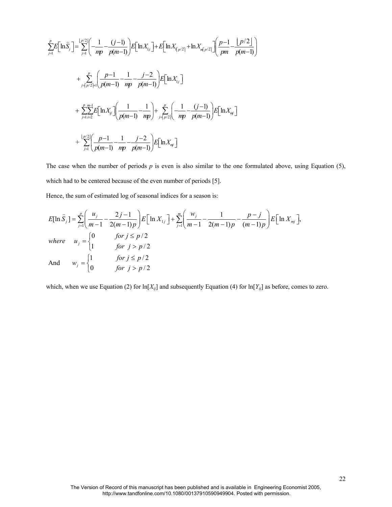$$
\sum_{j=1}^{p} E\left[\ln \hat{S}_{j}\right] = \sum_{j=1}^{p/2} \left(-\frac{1}{mp} - \frac{(j-1)}{p(m-1)}\right) E\left[\ln X_{1j}\right] + E\left[\ln X_{\sqrt{p}/2} + \ln X_{\sqrt{p}/2}\right] \left(\frac{p-1}{pm} - \frac{\lfloor p/2 \rfloor}{p(m-1)}\right)
$$
\n
$$
+ \sum_{j=\lceil p/2 \rceil+1}^{p} \left(\frac{p-1}{p(m-1)} - \frac{1}{mp} - \frac{j-2}{p(m-1)}\right) E\left[\ln X_{1j}\right]
$$
\n
$$
+ \sum_{j=1}^{p} \sum_{i=2}^{m-1} E\left[\ln X_{ij}\right] \left(\frac{1}{p(m-1)} - \frac{1}{mp}\right) + \sum_{j=\lceil p/2 \rceil}^{p} \left(-\frac{1}{mp} - \frac{(j-1)}{p(m-1)}\right) E\left[\ln X_{nj}\right]
$$
\n
$$
+ \sum_{j=1}^{p/2} \left(\frac{p-1}{p(m-1)} - \frac{1}{mp} - \frac{j-2}{p(m-1)}\right) E\left[\ln X_{nj}\right]
$$

The case when the number of periods *p* is even is also similar to the one formulated above, using Equation (5), which had to be centered because of the even number of periods [5].

Hence, the sum of estimated log of seasonal indices for a season is:

$$
E[\ln \hat{S}_j] = \sum_{j=1}^p \left( \frac{u_j}{m-1} - \frac{2j-1}{2(m-1)p} \right) E\left[\ln X_{1j}\right] + \sum_{j=1}^m \left( \frac{w_j}{m-1} - \frac{1}{2(m-1)p} - \frac{p-j}{(m-1)p} \right) E\left[\ln X_{mj}\right],
$$
  
\nwhere  $u_j = \begin{cases} 0 & \text{for } j \le p/2 \\ 1 & \text{for } j > p/2 \end{cases}$   
\nAnd  $w_j = \begin{cases} 1 & \text{for } j \le p/2 \\ 0 & \text{for } j > p/2 \end{cases}$ 

which, when we use Equation (2) for  $\ln[X_i]$  and subsequently Equation (4) for  $\ln[Y_i]$  as before, comes to zero.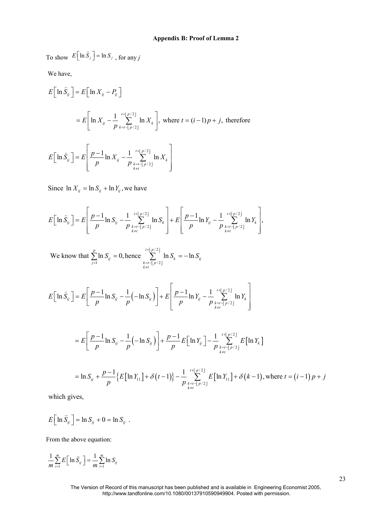To show  $E\left[\ln \hat{S}_j\right] = \ln S_j$  $\tilde{z}$ , for any *j* 

We have,

$$
E\Big[\ln \widehat{S}_{ij}\Big] = E\Big[\ln X_{ij} - P_{ij}\Big]
$$
  
=  $E\Big[\ln X_{ij} - \frac{1}{p} \sum_{k=t-\lfloor p/2 \rfloor}^{t+\lfloor p/2 \rfloor} \ln X_k\Big]$ , where  $t = (i-1)p + j$ , therefore  

$$
E\Big[\ln \widehat{S}_{ij}\Big] = E\Bigg[\frac{p-1}{p}\ln X_{ij} - \frac{1}{p} \sum_{\substack{k=t-\lfloor p/2 \rfloor \\ k \neq t}}^{t+\lfloor p/2 \rfloor} \ln X_k\Bigg]
$$

Since  $\ln X_{ij} = \ln S_{ij} + \ln Y_{ij}$ , we have

$$
E\Big[\ln \widehat{S}_{ij}\Big] = E\Bigg[\frac{p-1}{p}\ln S_{ij} - \frac{1}{p}\sum_{\substack{k=t-1\\k\neq t}}^{t+\lfloor p/2\rfloor} \ln S_{k}\Bigg] + E\Bigg[\frac{p-1}{p}\ln Y_{ij} - \frac{1}{p}\sum_{\substack{k=t-1\\k\neq t}}^{t+\lfloor p/2\rfloor} \ln Y_{k}\Bigg],
$$

/ 2 1  $k=t-|p/2$ We know that  $\sum_{i=1}^{p} \ln S_{ii} = 0$ , hence  $\sum_{i=1}^{t+|p/2|} \ln S_{k} = -\ln \frac{1}{2}$  $\sum_{j=1}^{\infty} \frac{\ln S_{ij}}{s} = 0,$  **h**  $\sum_{\substack{k=t-[p/2] \\ k \neq t}} \frac{\ln S_k}{s} = \ln S_{ij}$  $S_{ii} = 0$ , hence  $\sum_{k=1}^{t + \lfloor p/2 \rfloor} \ln S_k = -\ln S$ = = − ≠  $\sum \ln S_{ij} = 0$ , hence  $\sum \ln S_k = -$ 

$$
E\Big[\ln\widehat{S}_{ij}\Big]=E\Bigg[\frac{p-1}{p}\ln S_{ij}-\frac{1}{p}\Big(-\ln S_{ij}\Big)\Bigg]+E\Bigg[\frac{p-1}{p}\ln Y_{ij}-\frac{1}{p}\sum_{\substack{k=1-p/2 \ k \neq i}}^{t+\lfloor p/2 \rfloor} \ln Y_k\Bigg]
$$

$$
= E\left[\frac{p-1}{p}\ln S_{ij} - \frac{1}{p}\left(-\ln S_{ij}\right)\right] + \frac{p-1}{p}E\left[\ln Y_{ij}\right] - \frac{1}{p}\sum_{\substack{k=l-p/2 \ k \neq t}}^{l+|p/2|} E\left[\ln Y_{k}\right]
$$
  

$$
= \ln S_{ij} + \frac{p-1}{p}\left\{E\left[\ln Y_{11}\right] + \delta\left(t-1\right)\right\} - \frac{1}{p}\sum_{\substack{k=l-p/2 \ k \neq t}}^{l+|p/2|} E\left[\ln Y_{11}\right] + \delta\left(k-1\right), \text{where } t = (i-1)p + j
$$

which gives,

$$
E\Big[\ln \widehat{S}_{ij}\,\Big] = \ln S_{ij} + 0 = \ln S_{ij} .
$$

From the above equation:

$$
\frac{1}{m}\sum_{i=1}^{m}E\left[\ln \widehat{S}_{ij}\right]=\frac{1}{m}\sum_{i=1}^{m}\ln S_{ij}
$$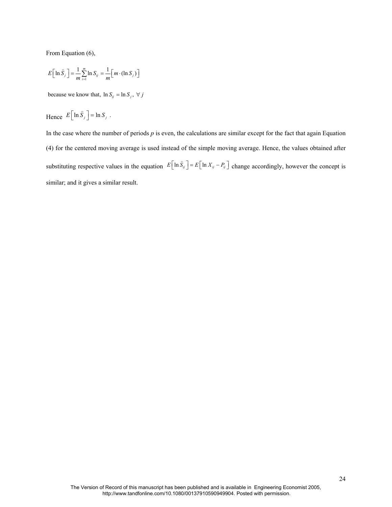From Equation (6),

$$
E\left[\ln \widehat{S}_j\right] = \frac{1}{m} \sum_{i=1}^m \ln S_{ij} = \frac{1}{m} \left[m \cdot (\ln S_j)\right]
$$

because we know that,  $\ln S_{ij} = \ln S_j$ ,  $\forall j$ 

Hence 
$$
E[\ln \hat{S}_j] = \ln S_j
$$
.

In the case where the number of periods  $p$  is even, the calculations are similar except for the fact that again Equation (4) for the centered moving average is used instead of the simple moving average. Hence, the values obtained after substituting respective values in the equation  $E\left[\ln \hat{S}_{ij}\right] = E\left[\ln X_{ij} - P_{ij}\right]$  $\overline{a}$ change accordingly, however the concept is similar; and it gives a similar result.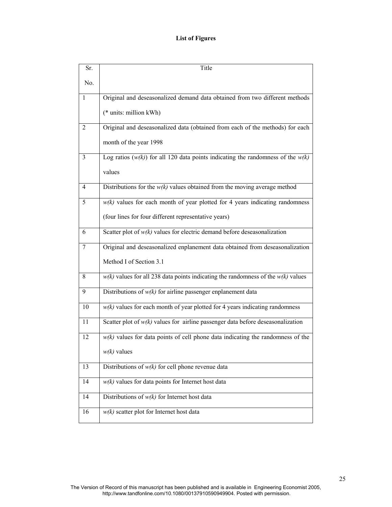## **List of Figures**

| Sr.          | Title                                                                                |
|--------------|--------------------------------------------------------------------------------------|
| No.          |                                                                                      |
| $\mathbf{1}$ | Original and deseasonalized demand data obtained from two different methods          |
|              | (* units: million kWh)                                                               |
| 2            | Original and deseasonalized data (obtained from each of the methods) for each        |
|              | month of the year 1998                                                               |
| 3            | Log ratios $(w(k))$ for all 120 data points indicating the randomness of the $w(k)$  |
|              | values                                                                               |
| 4            | Distributions for the $w(k)$ values obtained from the moving average method          |
| 5            | $w(k)$ values for each month of year plotted for 4 years indicating randomness       |
|              | (four lines for four different representative years)                                 |
| 6            | Scatter plot of $w(k)$ values for electric demand before deseasonalization           |
| 7            | Original and deseasonalized enplanement data obtained from deseasonalization         |
|              | Method I of Section 3.1                                                              |
| 8            | $w(k)$ values for all 238 data points indicating the randomness of the $w(k)$ values |
| 9            | Distributions of $w(k)$ for airline passenger enplanement data                       |
| 10           | $w(k)$ values for each month of year plotted for 4 years indicating randomness       |
| 11           | Scatter plot of $w(k)$ values for airline passenger data before deseasonalization    |
| 12           | $w(k)$ values for data points of cell phone data indicating the randomness of the    |
|              | $w(k)$ values                                                                        |
| 13           | Distributions of $w(k)$ for cell phone revenue data                                  |
| 14           | $w(k)$ values for data points for Internet host data                                 |
| 14           | Distributions of $w(k)$ for Internet host data                                       |
| 16           | $w(k)$ scatter plot for Internet host data                                           |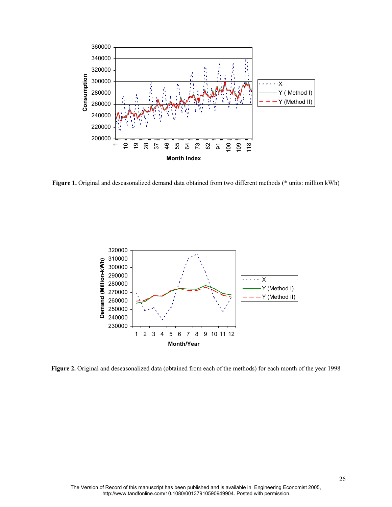

**Figure 1.** Original and deseasonalized demand data obtained from two different methods (\* units: million kWh)



**Figure 2.** Original and deseasonalized data (obtained from each of the methods) for each month of the year 1998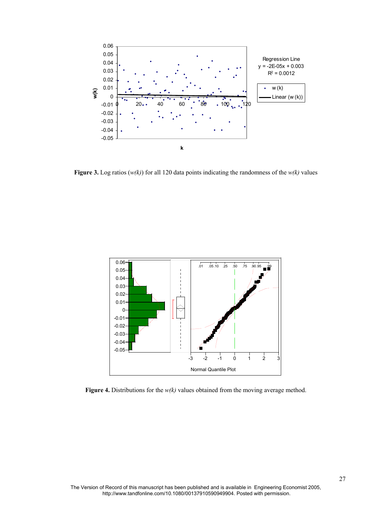

**Figure 3.** Log ratios (*w(k)*) for all 120 data points indicating the randomness of the *w(k)* values



**Figure 4.** Distributions for the *w(k)* values obtained from the moving average method.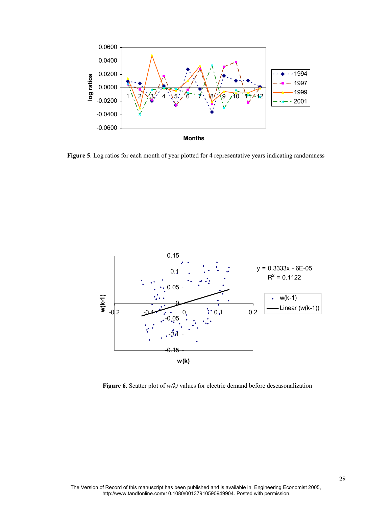

Figure 5. Log ratios for each month of year plotted for 4 representative years indicating randomness



**Figure 6**. Scatter plot of *w(k)* values for electric demand before deseasonalization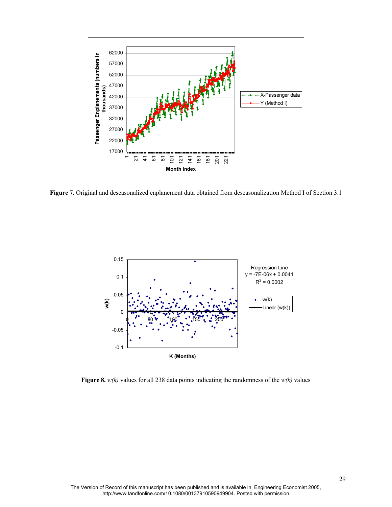

**Figure 7.** Original and deseasonalized enplanement data obtained from deseasonalization Method I of Section 3.1



**Figure 8.** *w(k)* values for all 238 data points indicating the randomness of the *w(k)* values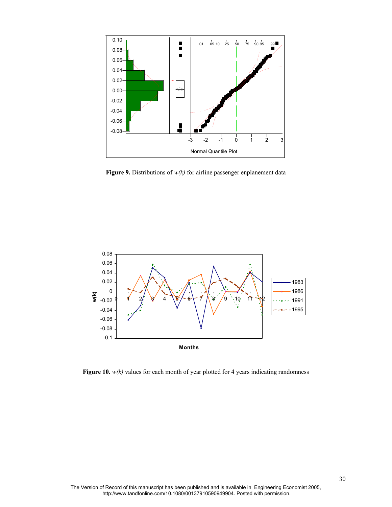

**Figure 9.** Distributions of *w(k)* for airline passenger enplanement data



Figure 10. *w(k)* values for each month of year plotted for 4 years indicating randomness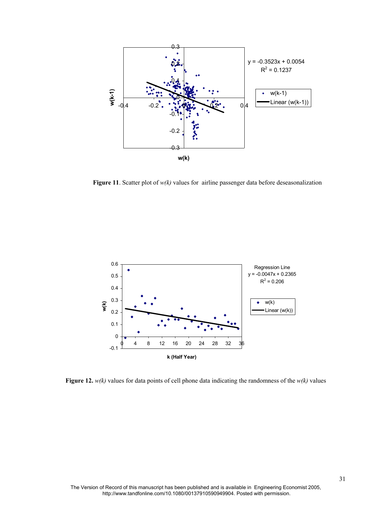

**Figure 11**. Scatter plot of *w(k)* values for airline passenger data before deseasonalization



**Figure 12.** *w(k)* values for data points of cell phone data indicating the randomness of the *w(k)* values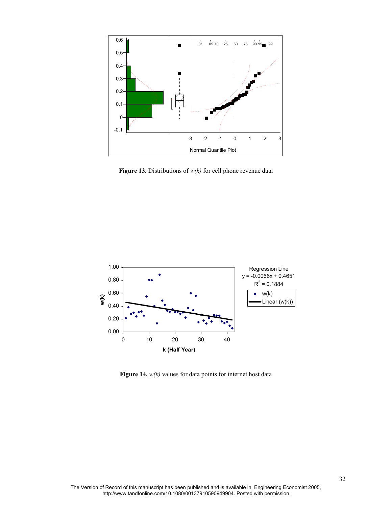

**Figure 13.** Distributions of *w(k)* for cell phone revenue data



**Figure 14.** *w(k)* values for data points for internet host data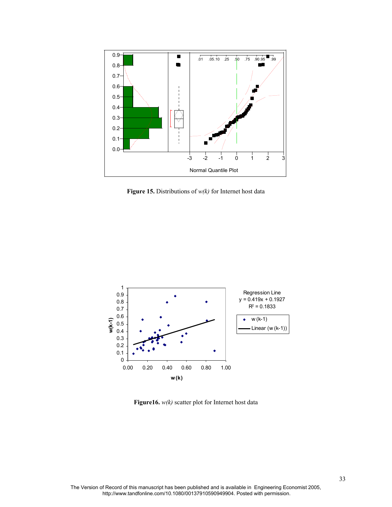

**Figure 15.** Distributions of *w(k)* for Internet host data



**Figure16.**  $w(k)$  scatter plot for Internet host data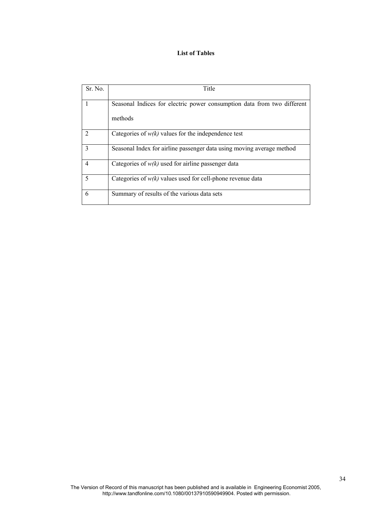### **List of Tables**

| Sr. No. | Title                                                                   |
|---------|-------------------------------------------------------------------------|
|         | Seasonal Indices for electric power consumption data from two different |
|         | methods                                                                 |
|         | Categories of $w(k)$ values for the independence test                   |
| 3       | Seasonal Index for airline passenger data using moving average method   |
| 4       | Categories of $w(k)$ used for airline passenger data                    |
| 5       | Categories of $w(k)$ values used for cell-phone revenue data            |
| 6       | Summary of results of the various data sets                             |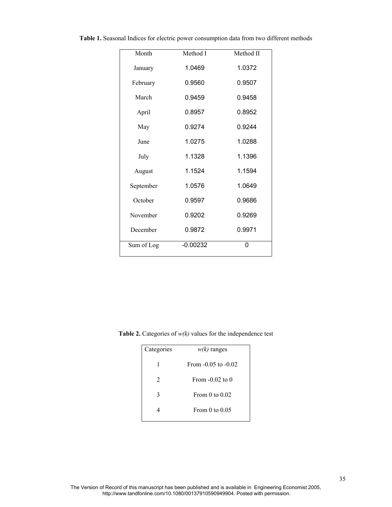| Month      | Method I   | Method II |
|------------|------------|-----------|
| January    | 1.0469     | 1.0372    |
| February   | 0.9560     | 0.9507    |
| March      | 0.9459     | 0.9458    |
| April      | 0.8957     | 0.8952    |
| May        | 0.9274     | 0.9244    |
| June       | 1.0275     | 1.0288    |
| July       | 1.1328     | 1.1396    |
| August     | 1.1524     | 1.1594    |
| September  | 1.0576     | 1.0649    |
| October    | 0.9597     | 0.9686    |
| November   | 0.9202     | 0.9269    |
| December   | 0.9872     | 0.9971    |
| Sum of Log | $-0.00232$ | 0         |

**Table 1.** Seasonal Indices for electric power consumption data from two different methods

**Table 2.** Categories of *w(k)* values for the independence test

| Categories | $w(k)$ ranges           |
|------------|-------------------------|
| 1          | From $-0.05$ to $-0.02$ |
| 2          | From $-0.02$ to 0       |
| 3          | From 0 to $0.02$        |
|            | From $0$ to $0.05$      |
|            |                         |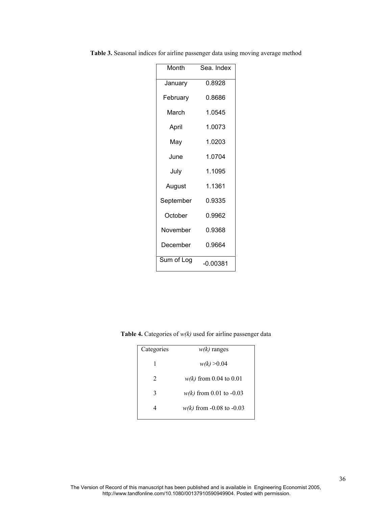| Month      | Sea. Index |  |  |
|------------|------------|--|--|
| January    | 0.8928     |  |  |
| February   | 0.8686     |  |  |
| March      | 1.0545     |  |  |
| April      | 1.0073     |  |  |
| May        | 1.0203     |  |  |
| June       | 1.0704     |  |  |
| July       | 1.1095     |  |  |
| August     | 1.1361     |  |  |
| September  | 0.9335     |  |  |
| October    | 0.9962     |  |  |
| November   | 0.9368     |  |  |
| December   | 0.9664     |  |  |
| Sum of Log | $-0.00381$ |  |  |

**Table 3.** Seasonal indices for airline passenger data using moving average method

**Table 4.** Categories of *w(k)* used for airline passenger data

| Categories                  | $w(k)$ ranges              |  |
|-----------------------------|----------------------------|--|
| 1                           | w(k) > 0.04                |  |
| $\mathcal{D}_{\mathcal{L}}$ | $w(k)$ from 0.04 to 0.01   |  |
| 3                           | $w(k)$ from 0.01 to -0.03  |  |
|                             | $w(k)$ from -0.08 to -0.03 |  |
|                             |                            |  |